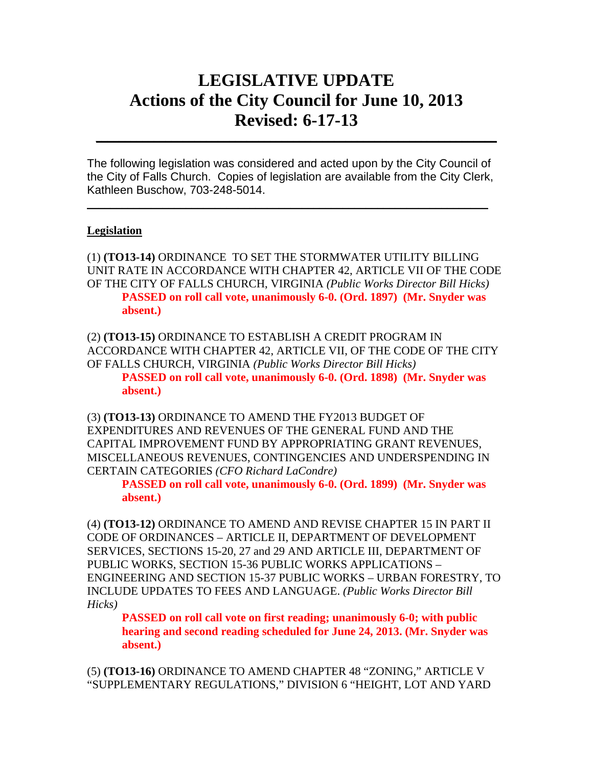## **LEGISLATIVE UPDATE Actions of the City Council for June 10, 2013 Revised: 6-17-13**

 $\mathcal{L}_\text{max} = \mathcal{L}_\text{max} = \mathcal{L}_\text{max} = \mathcal{L}_\text{max} = \mathcal{L}_\text{max} = \mathcal{L}_\text{max} = \mathcal{L}_\text{max} = \mathcal{L}_\text{max} = \mathcal{L}_\text{max} = \mathcal{L}_\text{max} = \mathcal{L}_\text{max} = \mathcal{L}_\text{max} = \mathcal{L}_\text{max} = \mathcal{L}_\text{max} = \mathcal{L}_\text{max} = \mathcal{L}_\text{max} = \mathcal{L}_\text{max} = \mathcal{L}_\text{max} = \mathcal{$ 

The following legislation was considered and acted upon by the City Council of the City of Falls Church. Copies of legislation are available from the City Clerk, Kathleen Buschow, 703-248-5014.

 $\_$ 

## **Legislation**

(1) **(TO13-14)** ORDINANCE TO SET THE STORMWATER UTILITY BILLING UNIT RATE IN ACCORDANCE WITH CHAPTER 42, ARTICLE VII OF THE CODE OF THE CITY OF FALLS CHURCH, VIRGINIA *(Public Works Director Bill Hicks)* **PASSED on roll call vote, unanimously 6-0. (Ord. 1897) (Mr. Snyder was absent.)** 

(2) **(TO13-15)** ORDINANCE TO ESTABLISH A CREDIT PROGRAM IN ACCORDANCE WITH CHAPTER 42, ARTICLE VII, OF THE CODE OF THE CITY OF FALLS CHURCH, VIRGINIA *(Public Works Director Bill Hicks)*

**PASSED on roll call vote, unanimously 6-0. (Ord. 1898) (Mr. Snyder was absent.)** 

(3) **(TO13-13)** ORDINANCE TO AMEND THE FY2013 BUDGET OF EXPENDITURES AND REVENUES OF THE GENERAL FUND AND THE CAPITAL IMPROVEMENT FUND BY APPROPRIATING GRANT REVENUES, MISCELLANEOUS REVENUES, CONTINGENCIES AND UNDERSPENDING IN CERTAIN CATEGORIES *(CFO Richard LaCondre)*

**PASSED on roll call vote, unanimously 6-0. (Ord. 1899) (Mr. Snyder was absent.)** 

(4) **(TO13-12)** ORDINANCE TO AMEND AND REVISE CHAPTER 15 IN PART II CODE OF ORDINANCES – ARTICLE II, DEPARTMENT OF DEVELOPMENT SERVICES, SECTIONS 15-20, 27 and 29 AND ARTICLE III, DEPARTMENT OF PUBLIC WORKS, SECTION 15-36 PUBLIC WORKS APPLICATIONS – ENGINEERING AND SECTION 15-37 PUBLIC WORKS – URBAN FORESTRY, TO INCLUDE UPDATES TO FEES AND LANGUAGE. *(Public Works Director Bill Hicks)* 

**PASSED on roll call vote on first reading; unanimously 6-0; with public hearing and second reading scheduled for June 24, 2013. (Mr. Snyder was absent.)** 

(5) **(TO13-16)** ORDINANCE TO AMEND CHAPTER 48 "ZONING," ARTICLE V "SUPPLEMENTARY REGULATIONS," DIVISION 6 "HEIGHT, LOT AND YARD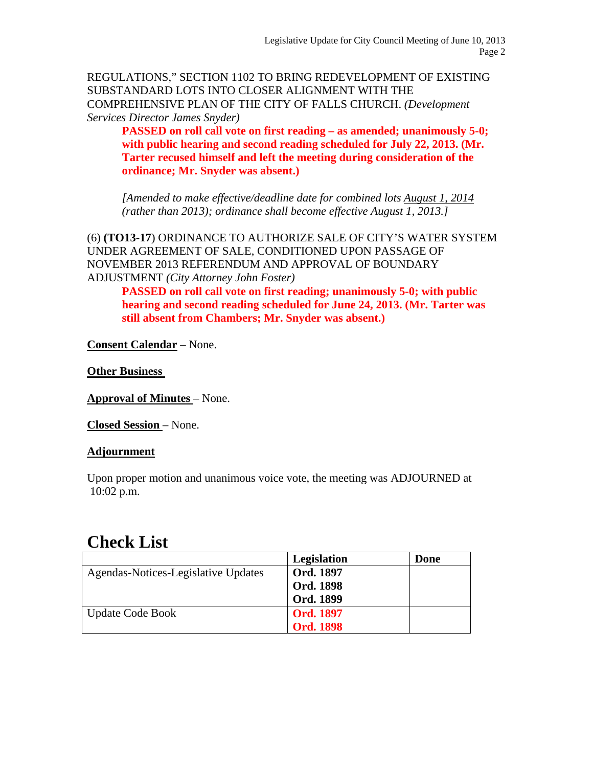REGULATIONS," SECTION 1102 TO BRING REDEVELOPMENT OF EXISTING SUBSTANDARD LOTS INTO CLOSER ALIGNMENT WITH THE COMPREHENSIVE PLAN OF THE CITY OF FALLS CHURCH. *(Development Services Director James Snyder)*

**PASSED on roll call vote on first reading – as amended; unanimously 5-0; with public hearing and second reading scheduled for July 22, 2013. (Mr. Tarter recused himself and left the meeting during consideration of the ordinance; Mr. Snyder was absent.)** 

*[Amended to make effective/deadline date for combined lots August 1, 2014 (rather than 2013); ordinance shall become effective August 1, 2013.]* 

(6) **(TO13-17**) ORDINANCE TO AUTHORIZE SALE OF CITY'S WATER SYSTEM UNDER AGREEMENT OF SALE, CONDITIONED UPON PASSAGE OF NOVEMBER 2013 REFERENDUM AND APPROVAL OF BOUNDARY ADJUSTMENT *(City Attorney John Foster)* 

**PASSED on roll call vote on first reading; unanimously 5-0; with public hearing and second reading scheduled for June 24, 2013. (Mr. Tarter was still absent from Chambers; Mr. Snyder was absent.)** 

**Consent Calendar** – None.

**Other Business** 

**Approval of Minutes** – None.

**Closed Session** – None.

## **Adjournment**

Upon proper motion and unanimous voice vote, the meeting was ADJOURNED at 10:02 p.m.

## **Check List**

|                                     | <b>Legislation</b> | Done |
|-------------------------------------|--------------------|------|
| Agendas-Notices-Legislative Updates | <b>Ord. 1897</b>   |      |
|                                     | <b>Ord. 1898</b>   |      |
|                                     | Ord. 1899          |      |
| <b>Update Code Book</b>             | <b>Ord. 1897</b>   |      |
|                                     | <b>Ord. 1898</b>   |      |